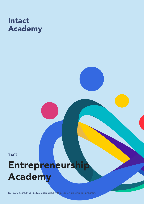## Intact Academy

TA07:

# Entrepreneurship Academy

ICF CEU accredited. EMCC accredited within senior practitioner program.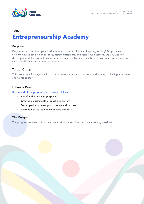

### Entrepreneurship Academy TA07:

#### Purpose

Do you want to work on your business in a structured, Fun and inspiring setting? Do you want to learn how to set a clear purpose, attract customers, and scale your business? Do you want to develop a modular product eco-system that is innovative and valuable? Do you want to become oversubscribed? Then this training is for you.

#### Target Group

This program is for anyone who has a business and wants to scale or is dreaming of having a business and wants to start.

#### Ultimate Result

By the end of the program participants will have:

- Redefined a business purpose
- Created a sustainable product eco-system
- Developed a business plan to scale and partner
- Learned how to lead an innovative business

#### The Program

The program consists of four one day workshops and four personal coaching sessions.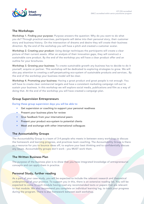

#### The Workshops

Workshop 1. Finding your purpose: Purpose answers the question: Why do you want to do what you do? Through practical exercises, participants will delve into their personal story, their customer story and business history. On the intersection of dreams and desire they will create their business direction. By the end of the workshop you will have a pitch and created a customer avatar.

Workshop 2. Creating your product: Using design techniques the participants will create a clear picture of their current assets. After an analysis of their innovation gaps, they will construct a sustainable core product. By the end of the workshop you will have a clear product offer and an outline for your brochures.

Workshop 3. Growing your business: To create sustainable growth any business has to decide to do it yourself, acquire or partner. This workshop will be dedicated to exploring strategies to grow. We will also pay attention to creating a self-perpetuating eco-system of sustainable products and services.. By the end of the workshop your business model will be clear.

Workshop 4. Promoting your business: Having a great product and great people is not enough. You will have to create clear commercial targets and have a consistent marketing campaign roll-out to sustain your business. In this workshop we will explore social media, publications and film as a way of doing that. At the end of the workshop you will have created a campaign plan.

#### Group Supervision Entrepreneurs

During these group supervision days you will be able to:

- Get supervision or coaching to support your personal readiness
- Present your business plans for review
- Give feedback from your international peers
- Present your product eco-system to potential clients
- Meet and exchange with other international colleagues

#### The Accountability Groups

The Accountability Group is a team of 3-4 people who meets in between every workshop to discuss the homework and learning progress, and practices team coaching. The Accountability Group is there as a resource for you to bounce ideas off, to explore your best thinking and to confidentially discuss any issues. Accountability groups don't work - you MUST work them.

#### The Written Business Plan

The purpose of the business plan is to show that you have integrated knowledge of entrepreneurial concepts and can apply them in practice.

#### Personal Study, further reading

As a part of your case study, you will be expected to include the relevant research and theoretical underpinnings of your practice. To support you in this, there is an extensive reading list. You will be expected to come to each module having read any recommended texts or papers that are relevant to that module. We also recommend you complete an individual learning log, to track your progress during the program. There is also homework between each workshop.